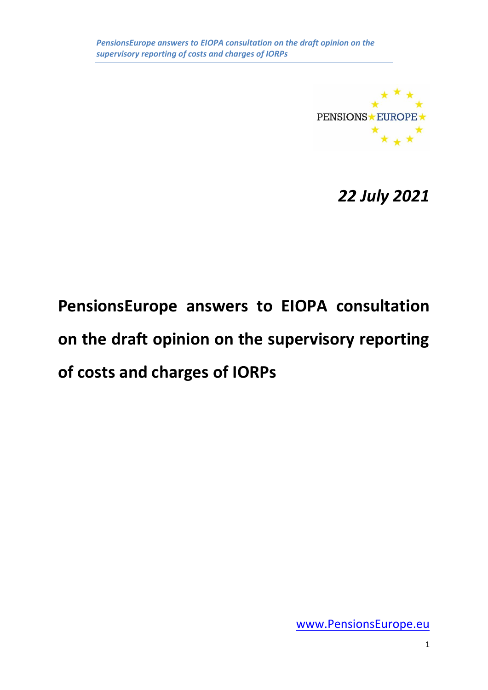

*22 July 2021*

# **PensionsEurope answers to EIOPA consultation on the draft opinion on the supervisory reporting of costs and charges of IORPs**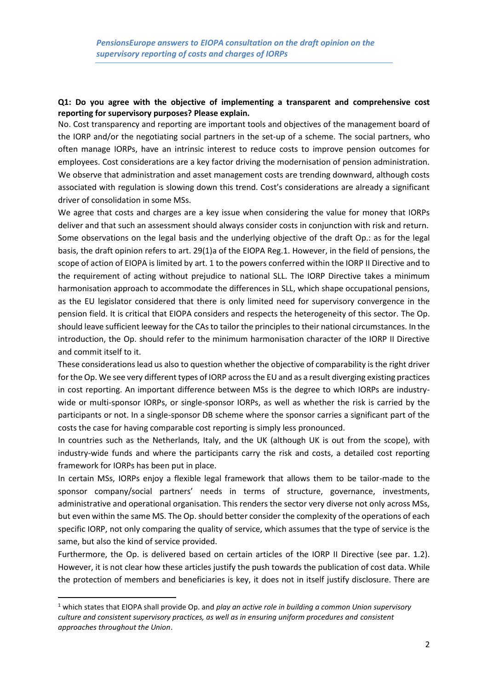#### **Q1: Do you agree with the objective of implementing a transparent and comprehensive cost reporting for supervisory purposes? Please explain.**

No. Cost transparency and reporting are important tools and objectives of the management board of the IORP and/or the negotiating social partners in the set-up of a scheme. The social partners, who often manage IORPs, have an intrinsic interest to reduce costs to improve pension outcomes for employees. Cost considerations are a key factor driving the modernisation of pension administration. We observe that administration and asset management costs are trending downward, although costs associated with regulation is slowing down this trend. Cost's considerations are already a significant driver of consolidation in some MSs.

We agree that costs and charges are a key issue when considering the value for money that IORPs deliver and that such an assessment should always consider costs in conjunction with risk and return. Some observations on the legal basis and the underlying objective of the draft Op.: as for the legal basis, the draft opinion refers to art. 29(1)a of the EIOPA Reg.1. However, in the field of pensions, the scope of action of EIOPA is limited by art. 1 to the powers conferred within the IORP II Directive and to the requirement of acting without prejudice to national SLL. The IORP Directive takes a minimum harmonisation approach to accommodate the differences in SLL, which shape occupational pensions, as the EU legislator considered that there is only limited need for supervisory convergence in the pension field. It is critical that EIOPA considers and respects the heterogeneity of this sector. The Op. should leave sufficient leeway for the CAs to tailor the principles to their national circumstances. In the introduction, the Op. should refer to the minimum harmonisation character of the IORP II Directive and commit itself to it.

These considerations lead us also to question whether the objective of comparability is the right driver for the Op. We see very different types of IORP across the EU and as a result diverging existing practices in cost reporting. An important difference between MSs is the degree to which IORPs are industrywide or multi-sponsor IORPs, or single-sponsor IORPs, as well as whether the risk is carried by the participants or not. In a single-sponsor DB scheme where the sponsor carries a significant part of the costs the case for having comparable cost reporting is simply less pronounced.

In countries such as the Netherlands, Italy, and the UK (although UK is out from the scope), with industry-wide funds and where the participants carry the risk and costs, a detailed cost reporting framework for IORPs has been put in place.

In certain MSs, IORPs enjoy a flexible legal framework that allows them to be tailor-made to the sponsor company/social partners' needs in terms of structure, governance, investments, administrative and operational organisation. This renders the sector very diverse not only across MSs, but even within the same MS. The Op. should better consider the complexity of the operations of each specific IORP, not only comparing the quality of service, which assumes that the type of service is the same, but also the kind of service provided.

Furthermore, the Op. is delivered based on certain articles of the IORP II Directive (see par. 1.2). However, it is not clear how these articles justify the push towards the publication of cost data. While the protection of members and beneficiaries is key, it does not in itself justify disclosure. There are

<sup>1</sup> which states that EIOPA shall provide Op. and *play an active role in building a common Union supervisory culture and consistent supervisory practices, as well as in ensuring uniform procedures and consistent approaches throughout the Union*.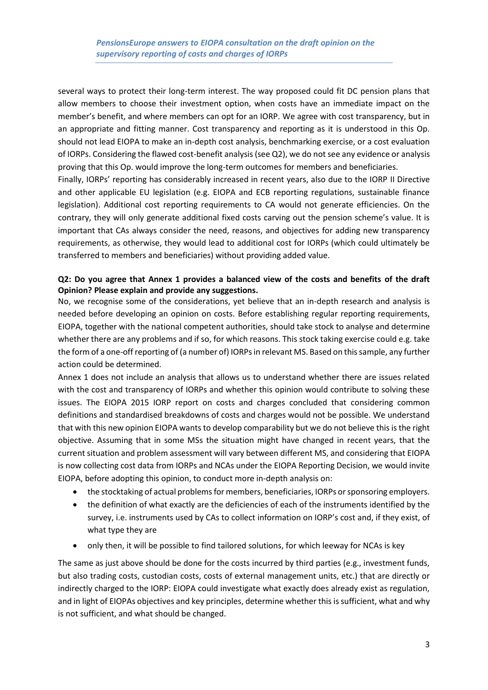several ways to protect their long-term interest. The way proposed could fit DC pension plans that allow members to choose their investment option, when costs have an immediate impact on the member's benefit, and where members can opt for an IORP. We agree with cost transparency, but in an appropriate and fitting manner. Cost transparency and reporting as it is understood in this Op. should not lead EIOPA to make an in-depth cost analysis, benchmarking exercise, or a cost evaluation of IORPs. Considering the flawed cost-benefit analysis (see Q2), we do not see any evidence or analysis proving that this Op. would improve the long-term outcomes for members and beneficiaries.

Finally, IORPs' reporting has considerably increased in recent years, also due to the IORP II Directive and other applicable EU legislation (e.g. EIOPA and ECB reporting regulations, sustainable finance legislation). Additional cost reporting requirements to CA would not generate efficiencies. On the contrary, they will only generate additional fixed costs carving out the pension scheme's value. It is important that CAs always consider the need, reasons, and objectives for adding new transparency requirements, as otherwise, they would lead to additional cost for IORPs (which could ultimately be transferred to members and beneficiaries) without providing added value.

# **Q2: Do you agree that Annex 1 provides a balanced view of the costs and benefits of the draft Opinion? Please explain and provide any suggestions.**

No, we recognise some of the considerations, yet believe that an in-depth research and analysis is needed before developing an opinion on costs. Before establishing regular reporting requirements, EIOPA, together with the national competent authorities, should take stock to analyse and determine whether there are any problems and if so, for which reasons. This stock taking exercise could e.g. take the form of a one-off reporting of (a number of) IORPs in relevant MS. Based on this sample, any further action could be determined.

Annex 1 does not include an analysis that allows us to understand whether there are issues related with the cost and transparency of IORPs and whether this opinion would contribute to solving these issues. The EIOPA 2015 IORP report on costs and charges concluded that considering common definitions and standardised breakdowns of costs and charges would not be possible. We understand that with this new opinion EIOPA wants to develop comparability but we do not believe this is the right objective. Assuming that in some MSs the situation might have changed in recent years, that the current situation and problem assessment will vary between different MS, and considering that EIOPA is now collecting cost data from IORPs and NCAs under the EIOPA Reporting Decision, we would invite EIOPA, before adopting this opinion, to conduct more in-depth analysis on:

- the stocktaking of actual problems for members, beneficiaries, IORPs or sponsoring employers.
- the definition of what exactly are the deficiencies of each of the instruments identified by the survey, i.e. instruments used by CAs to collect information on IORP's cost and, if they exist, of what type they are
- only then, it will be possible to find tailored solutions, for which leeway for NCAs is key

The same as just above should be done for the costs incurred by third parties (e.g., investment funds, but also trading costs, custodian costs, costs of external management units, etc.) that are directly or indirectly charged to the IORP: EIOPA could investigate what exactly does already exist as regulation, and in light of EIOPAs objectives and key principles, determine whether this is sufficient, what and why is not sufficient, and what should be changed.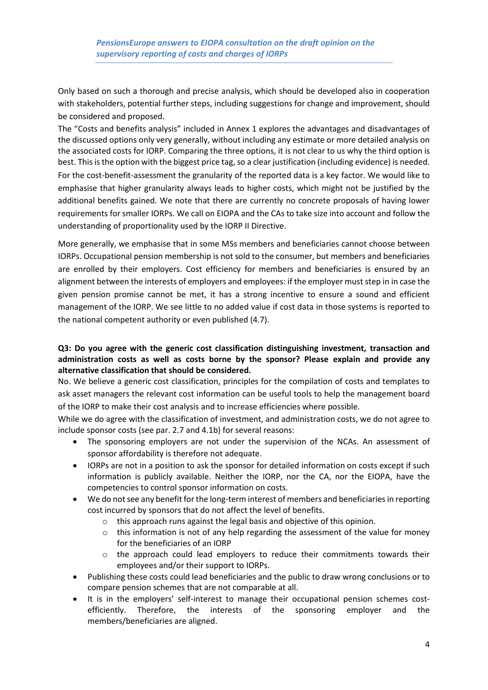Only based on such a thorough and precise analysis, which should be developed also in cooperation with stakeholders, potential further steps, including suggestions for change and improvement, should be considered and proposed.

The "Costs and benefits analysis" included in Annex 1 explores the advantages and disadvantages of the discussed options only very generally, without including any estimate or more detailed analysis on the associated costs for IORP. Comparing the three options, it is not clear to us why the third option is best. Thisis the option with the biggest price tag, so a clear justification (including evidence) is needed. For the cost-benefit-assessment the granularity of the reported data is a key factor. We would like to emphasise that higher granularity always leads to higher costs, which might not be justified by the additional benefits gained. We note that there are currently no concrete proposals of having lower requirements for smaller IORPs. We call on EIOPA and the CAs to take size into account and follow the understanding of proportionality used by the IORP II Directive.

More generally, we emphasise that in some MSs members and beneficiaries cannot choose between IORPs. Occupational pension membership is not sold to the consumer, but members and beneficiaries are enrolled by their employers. Cost efficiency for members and beneficiaries is ensured by an alignment between the interests of employers and employees: if the employer must step in in case the given pension promise cannot be met, it has a strong incentive to ensure a sound and efficient management of the IORP. We see little to no added value if cost data in those systems is reported to the national competent authority or even published (4.7).

# **Q3: Do you agree with the generic cost classification distinguishing investment, transaction and administration costs as well as costs borne by the sponsor? Please explain and provide any alternative classification that should be considered.**

No. We believe a generic cost classification, principles for the compilation of costs and templates to ask asset managers the relevant cost information can be useful tools to help the management board of the IORP to make their cost analysis and to increase efficiencies where possible.

While we do agree with the classification of investment, and administration costs, we do not agree to include sponsor costs (see par. 2.7 and 4.1b) for several reasons:

- The sponsoring employers are not under the supervision of the NCAs. An assessment of sponsor affordability is therefore not adequate.
- IORPs are not in a position to ask the sponsor for detailed information on costs except if such information is publicly available. Neither the IORP, nor the CA, nor the EIOPA, have the competencies to control sponsor information on costs.
- We do not see any benefit for the long-term interest of members and beneficiaries in reporting cost incurred by sponsors that do not affect the level of benefits.
	- o this approach runs against the legal basis and objective of this opinion.
	- $\circ$  this information is not of any help regarding the assessment of the value for money for the beneficiaries of an IORP
	- $\circ$  the approach could lead employers to reduce their commitments towards their employees and/or their support to IORPs.
- Publishing these costs could lead beneficiaries and the public to draw wrong conclusions or to compare pension schemes that are not comparable at all.
- It is in the employers' self-interest to manage their occupational pension schemes costefficiently. Therefore, the interests of the sponsoring employer and the members/beneficiaries are aligned.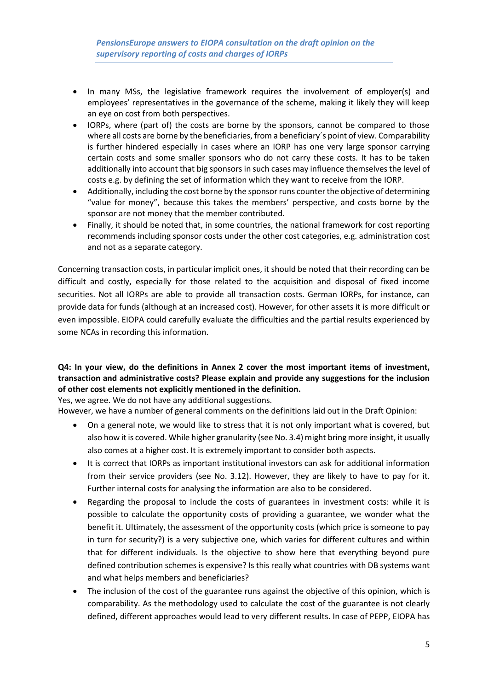- In many MSs, the legislative framework requires the involvement of employer(s) and employees' representatives in the governance of the scheme, making it likely they will keep an eye on cost from both perspectives.
- IORPs, where (part of) the costs are borne by the sponsors, cannot be compared to those where all costs are borne by the beneficiaries, from a beneficiary´s point of view. Comparability is further hindered especially in cases where an IORP has one very large sponsor carrying certain costs and some smaller sponsors who do not carry these costs. It has to be taken additionally into account that big sponsors in such cases may influence themselves the level of costs e.g. by defining the set of information which they want to receive from the IORP.
- Additionally, including the cost borne by the sponsor runs counter the objective of determining "value for money", because this takes the members' perspective, and costs borne by the sponsor are not money that the member contributed.
- Finally, it should be noted that, in some countries, the national framework for cost reporting recommends including sponsor costs under the other cost categories, e.g. administration cost and not as a separate category.

Concerning transaction costs, in particular implicit ones, it should be noted that their recording can be difficult and costly, especially for those related to the acquisition and disposal of fixed income securities. Not all IORPs are able to provide all transaction costs. German IORPs, for instance, can provide data for funds (although at an increased cost). However, for other assets it is more difficult or even impossible. EIOPA could carefully evaluate the difficulties and the partial results experienced by some NCAs in recording this information.

# **Q4: In your view, do the definitions in Annex 2 cover the most important items of investment, transaction and administrative costs? Please explain and provide any suggestions for the inclusion of other cost elements not explicitly mentioned in the definition.**

Yes, we agree. We do not have any additional suggestions.

However, we have a number of general comments on the definitions laid out in the Draft Opinion:

- On a general note, we would like to stress that it is not only important what is covered, but also how it is covered. While higher granularity (see No. 3.4) might bring more insight, it usually also comes at a higher cost. It is extremely important to consider both aspects.
- It is correct that IORPs as important institutional investors can ask for additional information from their service providers (see No. 3.12). However, they are likely to have to pay for it. Further internal costs for analysing the information are also to be considered.
- Regarding the proposal to include the costs of guarantees in investment costs: while it is possible to calculate the opportunity costs of providing a guarantee, we wonder what the benefit it. Ultimately, the assessment of the opportunity costs (which price is someone to pay in turn for security?) is a very subjective one, which varies for different cultures and within that for different individuals. Is the objective to show here that everything beyond pure defined contribution schemes is expensive? Is this really what countries with DB systems want and what helps members and beneficiaries?
- The inclusion of the cost of the guarantee runs against the objective of this opinion, which is comparability. As the methodology used to calculate the cost of the guarantee is not clearly defined, different approaches would lead to very different results. In case of PEPP, EIOPA has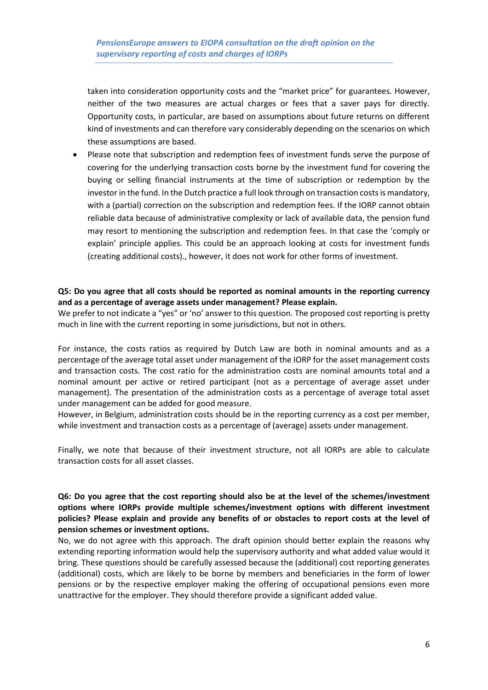taken into consideration opportunity costs and the "market price" for guarantees. However, neither of the two measures are actual charges or fees that a saver pays for directly. Opportunity costs, in particular, are based on assumptions about future returns on different kind of investments and can therefore vary considerably depending on the scenarios on which these assumptions are based.

• Please note that subscription and redemption fees of investment funds serve the purpose of covering for the underlying transaction costs borne by the investment fund for covering the buying or selling financial instruments at the time of subscription or redemption by the investor in the fund. In the Dutch practice a full look through on transaction costs is mandatory, with a (partial) correction on the subscription and redemption fees. If the IORP cannot obtain reliable data because of administrative complexity or lack of available data, the pension fund may resort to mentioning the subscription and redemption fees. In that case the 'comply or explain' principle applies. This could be an approach looking at costs for investment funds (creating additional costs)., however, it does not work for other forms of investment.

### **Q5: Do you agree that all costs should be reported as nominal amounts in the reporting currency and as a percentage of average assets under management? Please explain.**

We prefer to not indicate a "yes" or 'no' answer to this question. The proposed cost reporting is pretty much in line with the current reporting in some jurisdictions, but not in others.

For instance, the costs ratios as required by Dutch Law are both in nominal amounts and as a percentage of the average total asset under management of the IORP for the asset management costs and transaction costs. The cost ratio for the administration costs are nominal amounts total and a nominal amount per active or retired participant (not as a percentage of average asset under management). The presentation of the administration costs as a percentage of average total asset under management can be added for good measure.

However, in Belgium, administration costs should be in the reporting currency as a cost per member, while investment and transaction costs as a percentage of (average) assets under management.

Finally, we note that because of their investment structure, not all IORPs are able to calculate transaction costs for all asset classes.

## **Q6: Do you agree that the cost reporting should also be at the level of the schemes/investment options where IORPs provide multiple schemes/investment options with different investment policies? Please explain and provide any benefits of or obstacles to report costs at the level of pension schemes or investment options.**

No, we do not agree with this approach. The draft opinion should better explain the reasons why extending reporting information would help the supervisory authority and what added value would it bring. These questions should be carefully assessed because the (additional) cost reporting generates (additional) costs, which are likely to be borne by members and beneficiaries in the form of lower pensions or by the respective employer making the offering of occupational pensions even more unattractive for the employer. They should therefore provide a significant added value.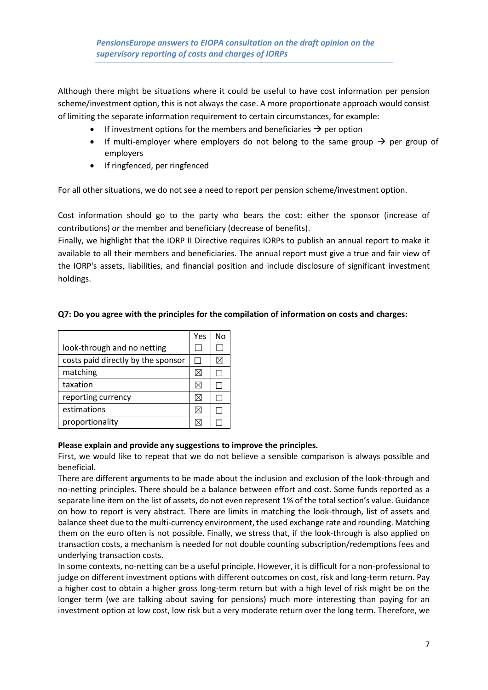Although there might be situations where it could be useful to have cost information per pension scheme/investment option, this is not always the case. A more proportionate approach would consist of limiting the separate information requirement to certain circumstances, for example:

- If investment options for the members and beneficiaries  $\rightarrow$  per option
- If multi-employer where employers do not belong to the same group  $\rightarrow$  per group of employers
- If ringfenced, per ringfenced

For all other situations, we do not see a need to report per pension scheme/investment option.

Cost information should go to the party who bears the cost: either the sponsor (increase of contributions) or the member and beneficiary (decrease of benefits).

Finally, we highlight that the IORP II Directive requires IORPs to publish an annual report to make it available to all their members and beneficiaries. The annual report must give a true and fair view of the IORP's assets, liabilities, and financial position and include disclosure of significant investment holdings.

|                                    | Yes      | No |
|------------------------------------|----------|----|
| look-through and no netting        |          |    |
| costs paid directly by the sponsor |          |    |
| matching                           | $\times$ |    |
| taxation                           | IX       |    |
| reporting currency                 | $\times$ |    |
| estimations                        | $\times$ |    |
| proportionality                    |          |    |

# **Q7: Do you agree with the principles for the compilation of information on costs and charges:**

#### **Please explain and provide any suggestions to improve the principles.**

First, we would like to repeat that we do not believe a sensible comparison is always possible and beneficial.

There are different arguments to be made about the inclusion and exclusion of the look-through and no-netting principles. There should be a balance between effort and cost. Some funds reported as a separate line item on the list of assets, do not even represent 1% of the total section's value. Guidance on how to report is very abstract. There are limits in matching the look-through, list of assets and balance sheet due to the multi-currency environment, the used exchange rate and rounding. Matching them on the euro often is not possible. Finally, we stress that, if the look-through is also applied on transaction costs, a mechanism is needed for not double counting subscription/redemptions fees and underlying transaction costs.

In some contexts, no-netting can be a useful principle. However, it is difficult for a non-professional to judge on different investment options with different outcomes on cost, risk and long-term return. Pay a higher cost to obtain a higher gross long-term return but with a high level of risk might be on the longer term (we are talking about saving for pensions) much more interesting than paying for an investment option at low cost, low risk but a very moderate return over the long term. Therefore, we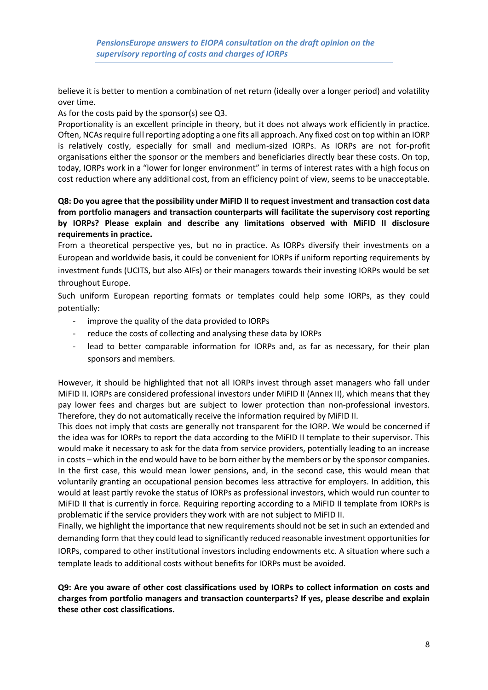believe it is better to mention a combination of net return (ideally over a longer period) and volatility over time.

As for the costs paid by the sponsor(s) see Q3.

Proportionality is an excellent principle in theory, but it does not always work efficiently in practice. Often, NCAs require full reporting adopting a one fits all approach. Any fixed cost on top within an IORP is relatively costly, especially for small and medium-sized IORPs. As IORPs are not for-profit organisations either the sponsor or the members and beneficiaries directly bear these costs. On top, today, IORPs work in a "lower for longer environment" in terms of interest rates with a high focus on cost reduction where any additional cost, from an efficiency point of view, seems to be unacceptable.

# **Q8: Do you agree that the possibility under MiFID II to request investment and transaction cost data from portfolio managers and transaction counterparts will facilitate the supervisory cost reporting by IORPs? Please explain and describe any limitations observed with MiFID II disclosure requirements in practice.**

From a theoretical perspective yes, but no in practice. As IORPs diversify their investments on a European and worldwide basis, it could be convenient for IORPs if uniform reporting requirements by investment funds (UCITS, but also AIFs) or their managers towards their investing IORPs would be set throughout Europe.

Such uniform European reporting formats or templates could help some IORPs, as they could potentially:

- improve the quality of the data provided to IORPs
- reduce the costs of collecting and analysing these data by IORPs
- lead to better comparable information for IORPs and, as far as necessary, for their plan sponsors and members.

However, it should be highlighted that not all IORPs invest through asset managers who fall under MiFID II. IORPs are considered professional investors under MiFID II (Annex II), which means that they pay lower fees and charges but are subject to lower protection than non-professional investors. Therefore, they do not automatically receive the information required by MiFID II.

This does not imply that costs are generally not transparent for the IORP. We would be concerned if the idea was for IORPs to report the data according to the MiFID II template to their supervisor. This would make it necessary to ask for the data from service providers, potentially leading to an increase in costs – which in the end would have to be born either by the members or by the sponsor companies. In the first case, this would mean lower pensions, and, in the second case, this would mean that voluntarily granting an occupational pension becomes less attractive for employers. In addition, this would at least partly revoke the status of IORPs as professional investors, which would run counter to MiFID II that is currently in force. Requiring reporting according to a MiFID II template from IORPs is problematic if the service providers they work with are not subject to MiFID II.

Finally, we highlight the importance that new requirements should not be set in such an extended and demanding form that they could lead to significantly reduced reasonable investment opportunities for IORPs, compared to other institutional investors including endowments etc. A situation where such a template leads to additional costs without benefits for IORPs must be avoided.

# **Q9: Are you aware of other cost classifications used by IORPs to collect information on costs and charges from portfolio managers and transaction counterparts? If yes, please describe and explain these other cost classifications.**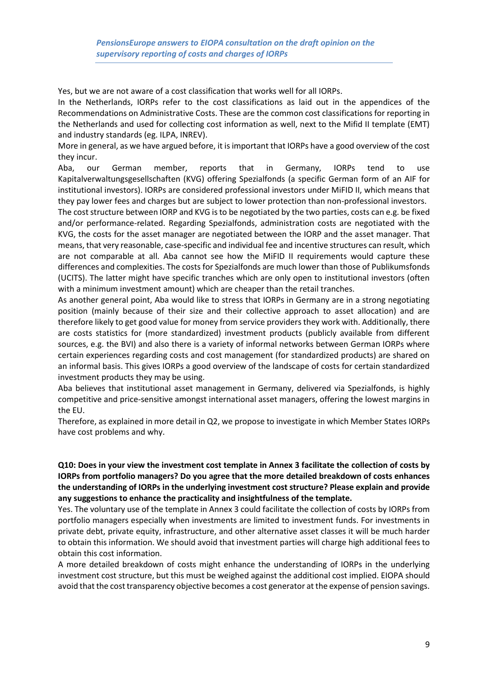Yes, but we are not aware of a cost classification that works well for all IORPs.

In the Netherlands, IORPs refer to the cost classifications as laid out in the appendices of the Recommendations on Administrative Costs. These are the common cost classifications for reporting in the Netherlands and used for collecting cost information as well, next to the Mifid II template (EMT) and industry standards (eg. ILPA, INREV).

More in general, as we have argued before, it is important that IORPs have a good overview of the cost they incur.

Aba, our German member, reports that in Germany, IORPs tend to use Kapitalverwaltungsgesellschaften (KVG) offering Spezialfonds (a specific German form of an AIF for institutional investors). IORPs are considered professional investors under MiFID II, which means that they pay lower fees and charges but are subject to lower protection than non-professional investors.

The cost structure between IORP and KVG is to be negotiated by the two parties, costs can e.g. be fixed and/or performance-related. Regarding Spezialfonds, administration costs are negotiated with the KVG, the costs for the asset manager are negotiated between the IORP and the asset manager. That means, that very reasonable, case-specific and individual fee and incentive structures can result, which are not comparable at all. Aba cannot see how the MiFID II requirements would capture these differences and complexities. The costs for Spezialfonds are much lower than those of Publikumsfonds (UCITS). The latter might have specific tranches which are only open to institutional investors (often with a minimum investment amount) which are cheaper than the retail tranches.

As another general point, Aba would like to stress that IORPs in Germany are in a strong negotiating position (mainly because of their size and their collective approach to asset allocation) and are therefore likely to get good value for money from service providers they work with. Additionally, there are costs statistics for (more standardized) investment products (publicly available from different sources, e.g. the BVI) and also there is a variety of informal networks between German IORPs where certain experiences regarding costs and cost management (for standardized products) are shared on an informal basis. This gives IORPs a good overview of the landscape of costs for certain standardized investment products they may be using.

Aba believes that institutional asset management in Germany, delivered via Spezialfonds, is highly competitive and price-sensitive amongst international asset managers, offering the lowest margins in the EU.

Therefore, as explained in more detail in Q2, we propose to investigate in which Member States IORPs have cost problems and why.

#### **Q10: Does in your view the investment cost template in Annex 3 facilitate the collection of costs by IORPs from portfolio managers? Do you agree that the more detailed breakdown of costs enhances the understanding of IORPs in the underlying investment cost structure? Please explain and provide any suggestions to enhance the practicality and insightfulness of the template.**

Yes. The voluntary use of the template in Annex 3 could facilitate the collection of costs by IORPs from portfolio managers especially when investments are limited to investment funds. For investments in private debt, private equity, infrastructure, and other alternative asset classes it will be much harder to obtain this information. We should avoid that investment parties will charge high additional fees to obtain this cost information.

A more detailed breakdown of costs might enhance the understanding of IORPs in the underlying investment cost structure, but this must be weighed against the additional cost implied. EIOPA should avoid that the cost transparency objective becomes a cost generator at the expense of pension savings.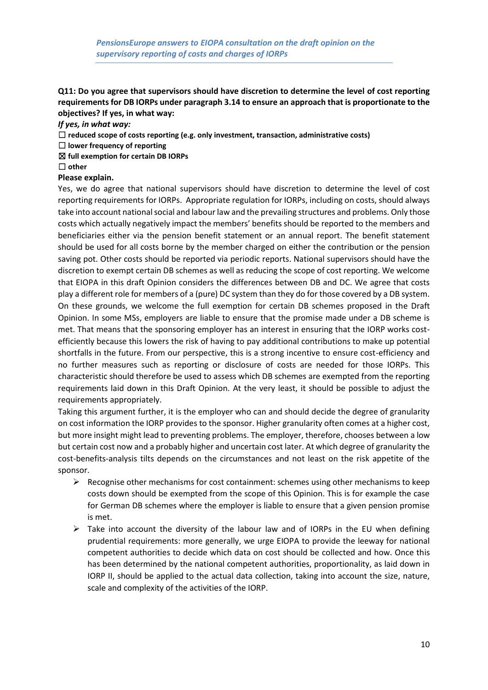# **Q11: Do you agree that supervisors should have discretion to determine the level of cost reporting requirements for DB IORPs under paragraph 3.14 to ensure an approach that is proportionate to the objectives? If yes, in what way:**

*If yes, in what way:*

- ☐ **reduced scope of costs reporting (e.g. only investment, transaction, administrative costs)**
- ☐ **lower frequency of reporting**
- ☒ **full exemption for certain DB IORPs**
- ☐ **other**

#### **Please explain.**

Yes, we do agree that national supervisors should have discretion to determine the level of cost reporting requirements for IORPs. Appropriate regulation for IORPs, including on costs, should always take into account national social and labour law and the prevailing structures and problems. Only those costs which actually negatively impact the members' benefits should be reported to the members and beneficiaries either via the pension benefit statement or an annual report. The benefit statement should be used for all costs borne by the member charged on either the contribution or the pension saving pot. Other costs should be reported via periodic reports. National supervisors should have the discretion to exempt certain DB schemes as well as reducing the scope of cost reporting. We welcome that EIOPA in this draft Opinion considers the differences between DB and DC. We agree that costs play a different role for members of a (pure) DC system than they do for those covered by a DB system. On these grounds, we welcome the full exemption for certain DB schemes proposed in the Draft Opinion. In some MSs, employers are liable to ensure that the promise made under a DB scheme is met. That means that the sponsoring employer has an interest in ensuring that the IORP works costefficiently because this lowers the risk of having to pay additional contributions to make up potential shortfalls in the future. From our perspective, this is a strong incentive to ensure cost-efficiency and no further measures such as reporting or disclosure of costs are needed for those IORPs. This characteristic should therefore be used to assess which DB schemes are exempted from the reporting requirements laid down in this Draft Opinion. At the very least, it should be possible to adjust the requirements appropriately.

Taking this argument further, it is the employer who can and should decide the degree of granularity on cost information the IORP provides to the sponsor. Higher granularity often comes at a higher cost, but more insight might lead to preventing problems. The employer, therefore, chooses between a low but certain cost now and a probably higher and uncertain cost later. At which degree of granularity the cost-benefits-analysis tilts depends on the circumstances and not least on the risk appetite of the sponsor.

- ➢ Recognise other mechanisms for cost containment: schemes using other mechanisms to keep costs down should be exempted from the scope of this Opinion. This is for example the case for German DB schemes where the employer is liable to ensure that a given pension promise is met.
- $\triangleright$  Take into account the diversity of the labour law and of IORPs in the EU when defining prudential requirements: more generally, we urge EIOPA to provide the leeway for national competent authorities to decide which data on cost should be collected and how. Once this has been determined by the national competent authorities, proportionality, as laid down in IORP II, should be applied to the actual data collection, taking into account the size, nature, scale and complexity of the activities of the IORP.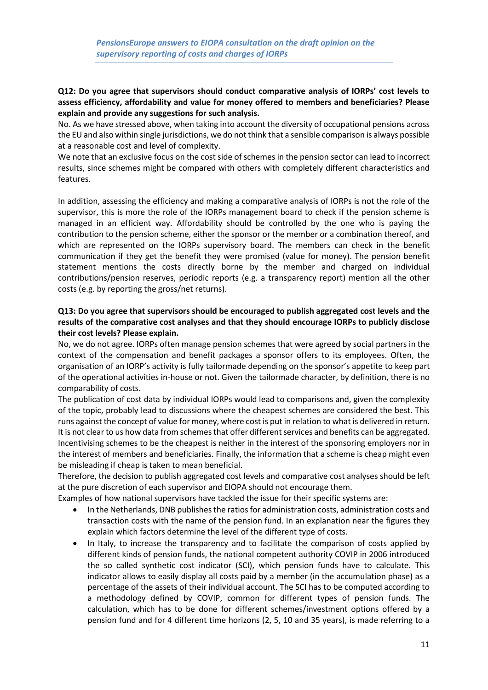## **Q12: Do you agree that supervisors should conduct comparative analysis of IORPs' cost levels to assess efficiency, affordability and value for money offered to members and beneficiaries? Please explain and provide any suggestions for such analysis.**

No. As we have stressed above, when taking into account the diversity of occupational pensions across the EU and also within single jurisdictions, we do not think that a sensible comparison is always possible at a reasonable cost and level of complexity.

We note that an exclusive focus on the cost side of schemes in the pension sector can lead to incorrect results, since schemes might be compared with others with completely different characteristics and features.

In addition, assessing the efficiency and making a comparative analysis of IORPs is not the role of the supervisor, this is more the role of the IORPs management board to check if the pension scheme is managed in an efficient way. Affordability should be controlled by the one who is paying the contribution to the pension scheme, either the sponsor or the member or a combination thereof, and which are represented on the IORPs supervisory board. The members can check in the benefit communication if they get the benefit they were promised (value for money). The pension benefit statement mentions the costs directly borne by the member and charged on individual contributions/pension reserves, periodic reports (e.g. a transparency report) mention all the other costs (e.g. by reporting the gross/net returns).

# **Q13: Do you agree that supervisors should be encouraged to publish aggregated cost levels and the results of the comparative cost analyses and that they should encourage IORPs to publicly disclose their cost levels? Please explain.**

No, we do not agree. IORPs often manage pension schemes that were agreed by social partners in the context of the compensation and benefit packages a sponsor offers to its employees. Often, the organisation of an IORP's activity is fully tailormade depending on the sponsor's appetite to keep part of the operational activities in-house or not. Given the tailormade character, by definition, there is no comparability of costs.

The publication of cost data by individual IORPs would lead to comparisons and, given the complexity of the topic, probably lead to discussions where the cheapest schemes are considered the best. This runs against the concept of value for money, where cost is put in relation to what is delivered in return. It is not clear to us how data from schemes that offer different services and benefits can be aggregated. Incentivising schemes to be the cheapest is neither in the interest of the sponsoring employers nor in the interest of members and beneficiaries. Finally, the information that a scheme is cheap might even be misleading if cheap is taken to mean beneficial.

Therefore, the decision to publish aggregated cost levels and comparative cost analyses should be left at the pure discretion of each supervisor and EIOPA should not encourage them.

Examples of how national supervisors have tackled the issue for their specific systems are:

- In the Netherlands, DNB publishes the ratios for administration costs, administration costs and transaction costs with the name of the pension fund. In an explanation near the figures they explain which factors determine the level of the different type of costs.
- In Italy, to increase the transparency and to facilitate the comparison of costs applied by different kinds of pension funds, the national competent authority COVIP in 2006 introduced the so called synthetic cost indicator (SCI), which pension funds have to calculate. This indicator allows to easily display all costs paid by a member (in the accumulation phase) as a percentage of the assets of their individual account. The SCI has to be computed according to a methodology defined by COVIP, common for different types of pension funds. The calculation, which has to be done for different schemes/investment options offered by a pension fund and for 4 different time horizons (2, 5, 10 and 35 years), is made referring to a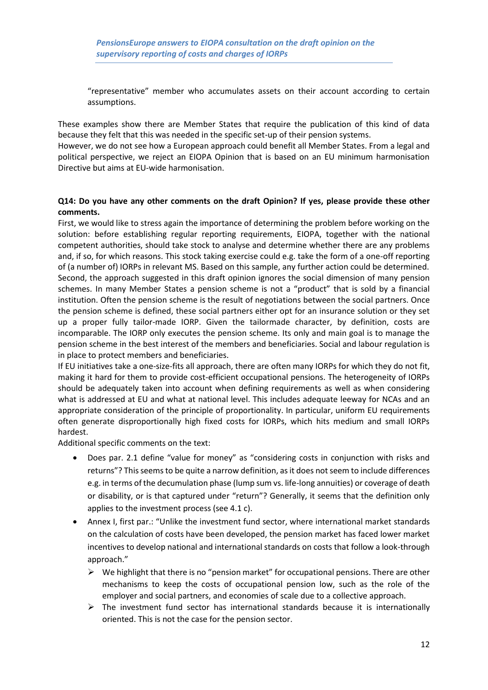"representative" member who accumulates assets on their account according to certain assumptions.

These examples show there are Member States that require the publication of this kind of data because they felt that this was needed in the specific set-up of their pension systems.

However, we do not see how a European approach could benefit all Member States. From a legal and political perspective, we reject an EIOPA Opinion that is based on an EU minimum harmonisation Directive but aims at EU-wide harmonisation.

#### **Q14: Do you have any other comments on the draft Opinion? If yes, please provide these other comments.**

First, we would like to stress again the importance of determining the problem before working on the solution: before establishing regular reporting requirements, EIOPA, together with the national competent authorities, should take stock to analyse and determine whether there are any problems and, if so, for which reasons. This stock taking exercise could e.g. take the form of a one-off reporting of (a number of) IORPs in relevant MS. Based on this sample, any further action could be determined. Second, the approach suggested in this draft opinion ignores the social dimension of many pension schemes. In many Member States a pension scheme is not a "product" that is sold by a financial institution. Often the pension scheme is the result of negotiations between the social partners. Once the pension scheme is defined, these social partners either opt for an insurance solution or they set up a proper fully tailor-made IORP. Given the tailormade character, by definition, costs are incomparable. The IORP only executes the pension scheme. Its only and main goal is to manage the pension scheme in the best interest of the members and beneficiaries. Social and labour regulation is in place to protect members and beneficiaries.

If EU initiatives take a one-size-fits all approach, there are often many IORPs for which they do not fit, making it hard for them to provide cost-efficient occupational pensions. The heterogeneity of IORPs should be adequately taken into account when defining requirements as well as when considering what is addressed at EU and what at national level. This includes adequate leeway for NCAs and an appropriate consideration of the principle of proportionality. In particular, uniform EU requirements often generate disproportionally high fixed costs for IORPs, which hits medium and small IORPs hardest.

Additional specific comments on the text:

- Does par. 2.1 define "value for money" as "considering costs in conjunction with risks and returns"? This seems to be quite a narrow definition, as it does not seem to include differences e.g. in terms of the decumulation phase (lump sum vs. life-long annuities) or coverage of death or disability, or is that captured under "return"? Generally, it seems that the definition only applies to the investment process (see 4.1 c).
- Annex I, first par.: "Unlike the investment fund sector, where international market standards on the calculation of costs have been developed, the pension market has faced lower market incentives to develop national and international standards on costs that follow a look-through approach."
	- $\triangleright$  We highlight that there is no "pension market" for occupational pensions. There are other mechanisms to keep the costs of occupational pension low, such as the role of the employer and social partners, and economies of scale due to a collective approach.
	- $\triangleright$  The investment fund sector has international standards because it is internationally oriented. This is not the case for the pension sector.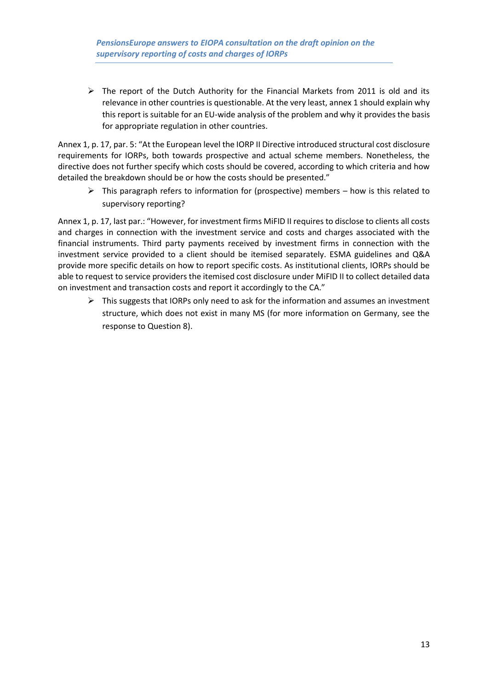$\triangleright$  The report of the Dutch Authority for the Financial Markets from 2011 is old and its relevance in other countries is questionable. At the very least, annex 1 should explain why this report is suitable for an EU-wide analysis of the problem and why it provides the basis for appropriate regulation in other countries.

Annex 1, p. 17, par. 5: "At the European level the IORP II Directive introduced structural cost disclosure requirements for IORPs, both towards prospective and actual scheme members. Nonetheless, the directive does not further specify which costs should be covered, according to which criteria and how detailed the breakdown should be or how the costs should be presented."

 $\triangleright$  This paragraph refers to information for (prospective) members – how is this related to supervisory reporting?

Annex 1, p. 17, last par.: "However, for investment firms MiFID II requires to disclose to clients all costs and charges in connection with the investment service and costs and charges associated with the financial instruments. Third party payments received by investment firms in connection with the investment service provided to a client should be itemised separately. ESMA guidelines and Q&A provide more specific details on how to report specific costs. As institutional clients, IORPs should be able to request to service providers the itemised cost disclosure under MiFID II to collect detailed data on investment and transaction costs and report it accordingly to the CA."

 $\triangleright$  This suggests that IORPs only need to ask for the information and assumes an investment structure, which does not exist in many MS (for more information on Germany, see the response to Question 8).